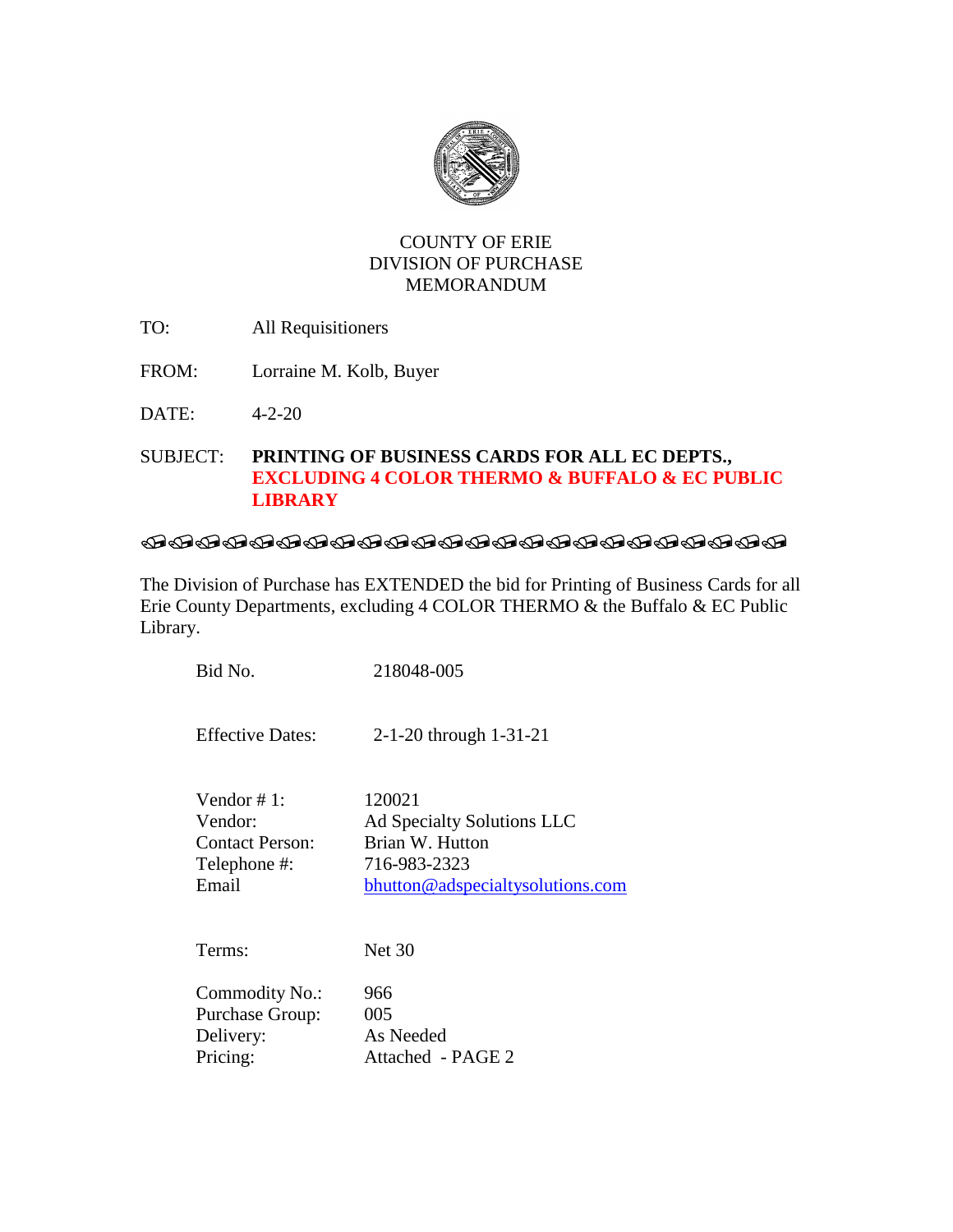

# COUNTY OF ERIE DIVISION OF PURCHASE MEMORANDUM

- TO: All Requisitioners
- FROM: Lorraine M. Kolb, Buyer
- DATE: 4-2-20
- SUBJECT: **PRINTING OF BUSINESS CARDS FOR ALL EC DEPTS., EXCLUDING 4 COLOR THERMO & BUFFALO & EC PUBLIC LIBRARY**

# **THE THE THE THE THE THE THE THE THE**

The Division of Purchase has EXTENDED the bid for Printing of Business Cards for all Erie County Departments, excluding 4 COLOR THERMO & the Buffalo & EC Public Library.

| Bid No.                 | 218048-005                       |  |  |
|-------------------------|----------------------------------|--|--|
| <b>Effective Dates:</b> | 2-1-20 through 1-31-21           |  |  |
| Vendor $# 1$ :          | 120021                           |  |  |
| Vendor:                 | Ad Specialty Solutions LLC       |  |  |
| <b>Contact Person:</b>  | Brian W. Hutton                  |  |  |
| Telephone #:            | 716-983-2323                     |  |  |
| Email                   | bhutton@adspecialtysolutions.com |  |  |
| Terms:                  | <b>Net 30</b>                    |  |  |
| Commodity No.:          | 966                              |  |  |
| Purchase Group:         | 005                              |  |  |
| Delivery:               | As Needed                        |  |  |
| Pricing:                | Attached - PAGE 2                |  |  |